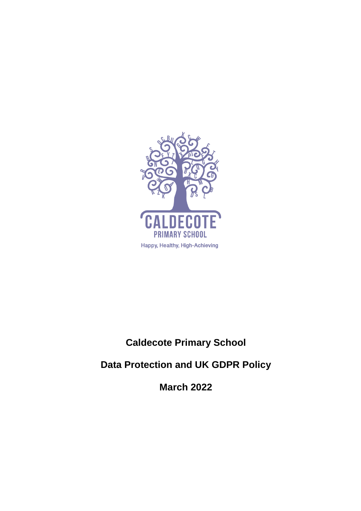

# **Caldecote Primary School**

# **Data Protection and UK GDPR Policy**

**March 2022**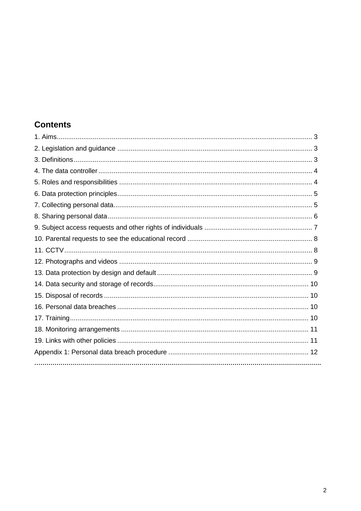# **Contents**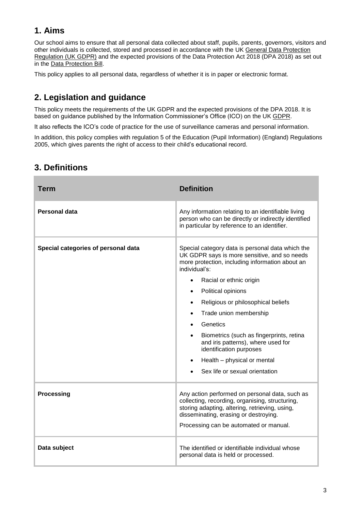# **1. Aims**

Our school aims to ensure that all personal data collected about staff, pupils, parents, governors, visitors and other individuals is collected, stored and processed in accordance with the UK [General Data Protection](http://data.consilium.europa.eu/doc/document/ST-5419-2016-INIT/en/pdf)  [Regulation \(UK GDPR\)](http://data.consilium.europa.eu/doc/document/ST-5419-2016-INIT/en/pdf) and the expected provisions of the Data Protection Act 2018 (DPA 2018) as set out in the [Data Protection Bill.](https://publications.parliament.uk/pa/bills/cbill/2017-2019/0153/18153.pdf)

This policy applies to all personal data, regardless of whether it is in paper or electronic format.

# **2. Legislation and guidance**

This policy meets the requirements of the UK GDPR and the expected provisions of the DPA 2018. It is based on guidance published by the Information Commissioner's Office (ICO) on the UK [GDPR.](https://ico.org.uk/for-organisations/guide-to-the-general-data-protection-regulation-gdpr/)

It also reflects the ICO's [code of practice](https://ico.org.uk/media/for-organisations/documents/1542/cctv-code-of-practice.pdf) for the use of surveillance cameras and personal information.

In addition, this policy complies with regulation 5 of the [Education \(Pupil Information\) \(England\) Regulations](http://www.legislation.gov.uk/uksi/2005/1437/regulation/5/made)  [2005,](http://www.legislation.gov.uk/uksi/2005/1437/regulation/5/made) which gives parents the right of access to their child's educational record.

| Term                                | <b>Definition</b>                                                                                                                                                                                                                                                                                                                                                                                                                                                                                         |
|-------------------------------------|-----------------------------------------------------------------------------------------------------------------------------------------------------------------------------------------------------------------------------------------------------------------------------------------------------------------------------------------------------------------------------------------------------------------------------------------------------------------------------------------------------------|
| Personal data                       | Any information relating to an identifiable living<br>person who can be directly or indirectly identified<br>in particular by reference to an identifier.                                                                                                                                                                                                                                                                                                                                                 |
| Special categories of personal data | Special category data is personal data which the<br>UK GDPR says is more sensitive, and so needs<br>more protection, including information about an<br>individual's:<br>Racial or ethnic origin<br>Political opinions<br>$\bullet$<br>Religious or philosophical beliefs<br>$\bullet$<br>Trade union membership<br>Genetics<br>Biometrics (such as fingerprints, retina<br>and iris patterns), where used for<br>identification purposes<br>Health - physical or mental<br>Sex life or sexual orientation |
| <b>Processing</b>                   | Any action performed on personal data, such as<br>collecting, recording, organising, structuring,<br>storing adapting, altering, retrieving, using,<br>disseminating, erasing or destroying.<br>Processing can be automated or manual.                                                                                                                                                                                                                                                                    |
| Data subject                        | The identified or identifiable individual whose<br>personal data is held or processed.                                                                                                                                                                                                                                                                                                                                                                                                                    |

### **3. Definitions**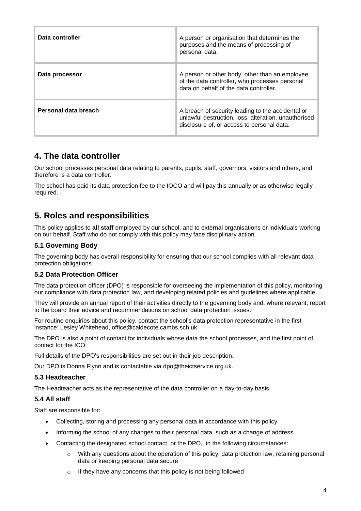| Data controller      | A person or organisation that determines the<br>purposes and the means of processing of<br>personal data.                                               |
|----------------------|---------------------------------------------------------------------------------------------------------------------------------------------------------|
| Data processor       | A person or other body, other than an employee<br>of the data controller, who processes personal<br>data on behalf of the data controller.              |
| Personal data breach | A breach of security leading to the accidental or<br>unlawful destruction, loss, alteration, unauthorised<br>disclosure of, or access to personal data. |

### **4. The data controller**

Our school processes personal data relating to parents, pupils, staff, governors, visitors and others, and therefore is a data controller.

The school has paid its data protection fee to the IOCO and will pay this annually or as otherwise legally required.

### **5. Roles and responsibilities**

This policy applies to **all staff** employed by our school, and to external organisations or individuals working on our behalf. Staff who do not comply with this policy may face disciplinary action.

#### **5.1 Governing Body**

The governing body has overall responsibility for ensuring that our school complies with all relevant data protection obligations.

#### **5.2 Data Protection Officer**

The data protection officer (DPO) is responsible for overseeing the implementation of this policy, monitoring our compliance with data protection law, and developing related policies and guidelines where applicable.

They will provide an annual report of their activities directly to the governing body and, where relevant, report to the board their advice and recommendations on school data protection issues.

For routine enquiries about this policy, contact the school's data protection representative in the first instance: Lesley Whitehead, office@caldecote.cambs.sch.uk

The DPO is also a point of contact for individuals whose data the school processes, and the first point of contact for the ICO.

Full details of the DPO's responsibilities are set out in their job description.

Our DPO is Donna Flynn and is contactable via dpo@theictservice.org.uk.

#### **5.3 Headteacher**

The Headteacher acts as the representative of the data controller on a day-to-day basis.

#### **5.4 All staff**

Staff are responsible for:

- Collecting, storing and processing any personal data in accordance with this policy
- Informing the school of any changes to their personal data, such as a change of address
- Contacting the designated school contact, or the DPO, in the following circumstances:
	- $\circ$  With any questions about the operation of this policy, data protection law, retaining personal data or keeping personal data secure
	- o If they have any concerns that this policy is not being followed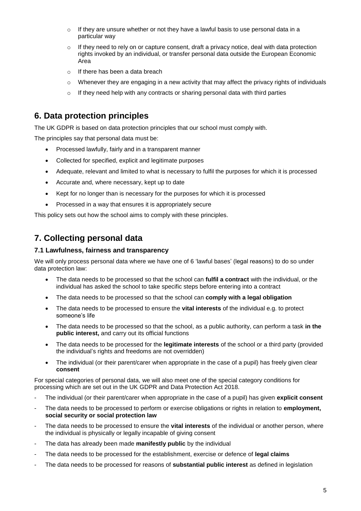- o If they are unsure whether or not they have a lawful basis to use personal data in a particular way
- $\circ$  If they need to rely on or capture consent, draft a privacy notice, deal with data protection rights invoked by an individual, or transfer personal data outside the European Economic Area
- o If there has been a data breach
- $\circ$  Whenever they are engaging in a new activity that may affect the privacy rights of individuals
- o If they need help with any contracts or sharing personal data with third parties

### **6. Data protection principles**

The UK GDPR is based on data protection principles that our school must comply with.

The principles say that personal data must be:

- Processed lawfully, fairly and in a transparent manner
- Collected for specified, explicit and legitimate purposes
- Adequate, relevant and limited to what is necessary to fulfil the purposes for which it is processed
- Accurate and, where necessary, kept up to date
- Kept for no longer than is necessary for the purposes for which it is processed
- Processed in a way that ensures it is appropriately secure

This policy sets out how the school aims to comply with these principles.

### **7. Collecting personal data**

#### **7.1 Lawfulness, fairness and transparency**

We will only process personal data where we have one of 6 'lawful bases' (legal reasons) to do so under data protection law:

- The data needs to be processed so that the school can **fulfil a contract** with the individual, or the individual has asked the school to take specific steps before entering into a contract
- The data needs to be processed so that the school can **comply with a legal obligation**
- The data needs to be processed to ensure the **vital interests** of the individual e.g. to protect someone's life
- The data needs to be processed so that the school, as a public authority, can perform a task **in the public interest,** and carry out its official functions
- The data needs to be processed for the **legitimate interests** of the school or a third party (provided the individual's rights and freedoms are not overridden)
- The individual (or their parent/carer when appropriate in the case of a pupil) has freely given clear **consent**

For special categories of personal data, we will also meet one of the special category conditions for processing which are set out in the UK GDPR and Data Protection Act 2018.

- The individual (or their parent/carer when appropriate in the case of a pupil) has given **explicit consent**
- The data needs to be processed to perform or exercise obligations or rights in relation to **employment, social security or social protection law**
- The data needs to be processed to ensure the **vital interests** of the individual or another person, where the individual is physically or legally incapable of giving consent
- The data has already been made **manifestly public** by the individual
- The data needs to be processed for the establishment, exercise or defence of **legal claims**
- The data needs to be processed for reasons of **substantial public interest** as defined in legislation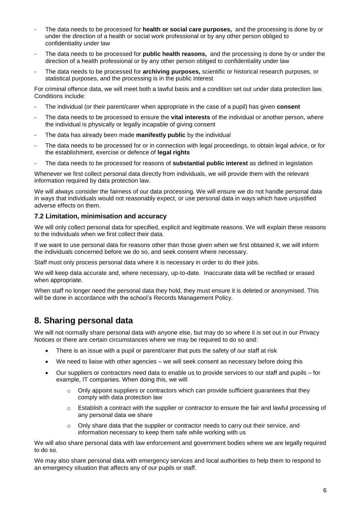- The data needs to be processed for **health or social care purposes,** and the processing is done by or under the direction of a health or social work professional or by any other person obliged to confidentiality under law
- The data needs to be processed for **public health reasons,** and the processing is done by or under the direction of a health professional or by any other person obliged to confidentiality under law
- The data needs to be processed for **archiving purposes,** scientific or historical research purposes, or statistical purposes, and the processing is in the public interest

For criminal offence data, we will meet both a lawful basis and a condition set out under data protection law. Conditions include:

- The individual (or their parent/carer when appropriate in the case of a pupil) has given **consent**
- The data needs to be processed to ensure the **vital interests** of the individual or another person, where the individual is physically or legally incapable of giving consent
- The data has already been made **manifestly public** by the individual
- The data needs to be processed for or in connection with legal proceedings, to obtain legal advice, or for the establishment, exercise or defence of **legal rights**
- The data needs to be processed for reasons of **substantial public interest** as defined in legislation

Whenever we first collect personal data directly from individuals, we will provide them with the relevant information required by data protection law.

We will always consider the fairness of our data processing. We will ensure we do not handle personal data in ways that individuals would not reasonably expect, or use personal data in ways which have unjustified adverse effects on them.

#### **7.2 Limitation, minimisation and accuracy**

We will only collect personal data for specified, explicit and legitimate reasons. We will explain these reasons to the individuals when we first collect their data.

If we want to use personal data for reasons other than those given when we first obtained it, we will inform the individuals concerned before we do so, and seek consent where necessary.

Staff must only process personal data where it is necessary in order to do their jobs.

We will keep data accurate and, where necessary, up-to-date. Inaccurate data will be rectified or erased when appropriate.

When staff no longer need the personal data they hold, they must ensure it is deleted or anonymised. This will be done in accordance with the school's Records Management Policy.

### **8. Sharing personal data**

We will not normally share personal data with anyone else, but may do so where it is set out in our Privacy Notices or there are certain circumstances where we may be required to do so and:

- There is an issue with a pupil or parent/carer that puts the safety of our staff at risk
- We need to liaise with other agencies we will seek consent as necessary before doing this
- Our suppliers or contractors need data to enable us to provide services to our staff and pupils for example, IT companies. When doing this, we will:
	- $\circ$  Only appoint suppliers or contractors which can provide sufficient guarantees that they comply with data protection law
	- o Establish a contract with the supplier or contractor to ensure the fair and lawful processing of any personal data we share
	- $\circ$  Only share data that the supplier or contractor needs to carry out their service, and information necessary to keep them safe while working with us

We will also share personal data with law enforcement and government bodies where we are legally required to do so.

We may also share personal data with emergency services and local authorities to help them to respond to an emergency situation that affects any of our pupils or staff.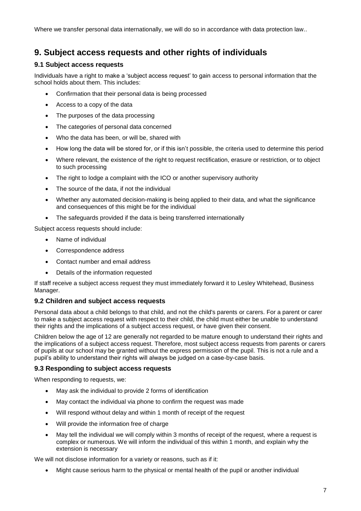Where we transfer personal data internationally, we will do so in accordance with data protection law..

### **9. Subject access requests and other rights of individuals**

#### **9.1 Subject access requests**

Individuals have a right to make a 'subject access request' to gain access to personal information that the school holds about them. This includes:

- Confirmation that their personal data is being processed
- Access to a copy of the data
- The purposes of the data processing
- The categories of personal data concerned
- Who the data has been, or will be, shared with
- How long the data will be stored for, or if this isn't possible, the criteria used to determine this period
- Where relevant, the existence of the right to request rectification, erasure or restriction, or to object to such processing
- The right to lodge a complaint with the ICO or another supervisory authority
- The source of the data, if not the individual
- Whether any automated decision-making is being applied to their data, and what the significance and consequences of this might be for the individual
- The safeguards provided if the data is being transferred internationally

Subject access requests should include:

- Name of individual
- Correspondence address
- Contact number and email address
- Details of the information requested

If staff receive a subject access request they must immediately forward it to Lesley Whitehead, Business Manager.

#### **9.2 Children and subject access requests**

Personal data about a child belongs to that child, and not the child's parents or carers. For a parent or carer to make a subject access request with respect to their child, the child must either be unable to understand their rights and the implications of a subject access request, or have given their consent.

Children below the age of 12 are generally not regarded to be mature enough to understand their rights and the implications of a subject access request. Therefore, most subject access requests from parents or carers of pupils at our school may be granted without the express permission of the pupil. This is not a rule and a pupil's ability to understand their rights will always be judged on a case-by-case basis.

#### **9.3 Responding to subject access requests**

When responding to requests, we:

- May ask the individual to provide 2 forms of identification
- May contact the individual via phone to confirm the request was made
- Will respond without delay and within 1 month of receipt of the request
- Will provide the information free of charge
- May tell the individual we will comply within 3 months of receipt of the request, where a request is complex or numerous. We will inform the individual of this within 1 month, and explain why the extension is necessary

We will not disclose information for a variety or reasons, such as if it:

Might cause serious harm to the physical or mental health of the pupil or another individual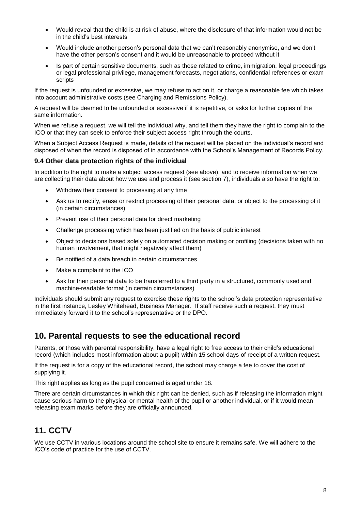- Would reveal that the child is at risk of abuse, where the disclosure of that information would not be in the child's best interests
- Would include another person's personal data that we can't reasonably anonymise, and we don't have the other person's consent and it would be unreasonable to proceed without it
- Is part of certain sensitive documents, such as those related to crime, immigration, legal proceedings or legal professional privilege, management forecasts, negotiations, confidential references or exam scripts

If the request is unfounded or excessive, we may refuse to act on it, or charge a reasonable fee which takes into account administrative costs (see Charging and Remissions Policy).

A request will be deemed to be unfounded or excessive if it is repetitive, or asks for further copies of the same information.

When we refuse a request, we will tell the individual why, and tell them they have the right to complain to the ICO or that they can seek to enforce their subject access right through the courts.

When a Subject Access Request is made, details of the request will be placed on the individual's record and disposed of when the record is disposed of in accordance with the School's Management of Records Policy.

#### **9.4 Other data protection rights of the individual**

In addition to the right to make a subject access request (see above), and to receive information when we are collecting their data about how we use and process it (see section 7), individuals also have the right to:

- Withdraw their consent to processing at any time
- Ask us to rectify, erase or restrict processing of their personal data, or object to the processing of it (in certain circumstances)
- Prevent use of their personal data for direct marketing
- Challenge processing which has been justified on the basis of public interest
- Object to decisions based solely on automated decision making or profiling (decisions taken with no human involvement, that might negatively affect them)
- Be notified of a data breach in certain circumstances
- Make a complaint to the ICO
- Ask for their personal data to be transferred to a third party in a structured, commonly used and machine-readable format (in certain circumstances)

Individuals should submit any request to exercise these rights to the school's data protection representative in the first instance, Lesley Whitehead, Business Manager. If staff receive such a request, they must immediately forward it to the school's representative or the DPO.

### **10. Parental requests to see the educational record**

Parents, or those with parental responsibility, have a legal right to free access to their child's educational record (which includes most information about a pupil) within 15 school days of receipt of a written request.

If the request is for a copy of the educational record, the school may charge a fee to cover the cost of supplying it.

This right applies as long as the pupil concerned is aged under 18.

There are certain circumstances in which this right can be denied, such as if releasing the information might cause serious harm to the physical or mental health of the pupil or another individual, or if it would mean releasing exam marks before they are officially announced.

## **11. CCTV**

We use CCTV in various locations around the school site to ensure it remains safe. We will adhere to the ICO's [code of practice](https://ico.org.uk/media/for-organisations/documents/1542/cctv-code-of-practice.pdf) for the use of CCTV.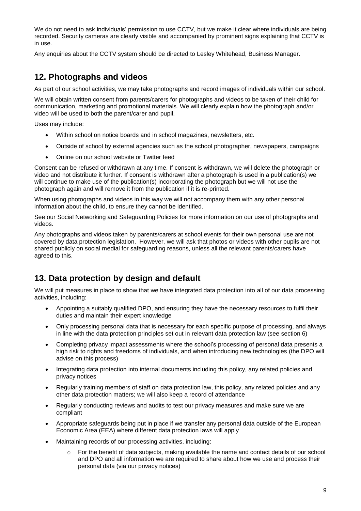We do not need to ask individuals' permission to use CCTV, but we make it clear where individuals are being recorded. Security cameras are clearly visible and accompanied by prominent signs explaining that CCTV is in use.

Any enquiries about the CCTV system should be directed to Lesley Whitehead, Business Manager.

### **12. Photographs and videos**

As part of our school activities, we may take photographs and record images of individuals within our school.

We will obtain written consent from parents/carers for photographs and videos to be taken of their child for communication, marketing and promotional materials. We will clearly explain how the photograph and/or video will be used to both the parent/carer and pupil.

Uses may include:

- Within school on notice boards and in school magazines, newsletters, etc.
- Outside of school by external agencies such as the school photographer, newspapers, campaigns
- Online on our school website or Twitter feed

Consent can be refused or withdrawn at any time. If consent is withdrawn, we will delete the photograph or video and not distribute it further. If consent is withdrawn after a photograph is used in a publication(s) we will continue to make use of the publication(s) incorporating the photograph but we will not use the photograph again and will remove it from the publication if it is re-printed.

When using photographs and videos in this way we will not accompany them with any other personal information about the child, to ensure they cannot be identified.

See our Social Networking and Safeguarding Policies for more information on our use of photographs and videos.

Any photographs and videos taken by parents/carers at school events for their own personal use are not covered by data protection legislation. However, we will ask that photos or videos with other pupils are not shared publicly on social medial for safeguarding reasons, unless all the relevant parents/carers have agreed to this.

## **13. Data protection by design and default**

We will put measures in place to show that we have integrated data protection into all of our data processing activities, including:

- Appointing a suitably qualified DPO, and ensuring they have the necessary resources to fulfil their duties and maintain their expert knowledge
- Only processing personal data that is necessary for each specific purpose of processing, and always in line with the data protection principles set out in relevant data protection law (see section 6)
- Completing privacy impact assessments where the school's processing of personal data presents a high risk to rights and freedoms of individuals, and when introducing new technologies (the DPO will advise on this process)
- Integrating data protection into internal documents including this policy, any related policies and privacy notices
- Regularly training members of staff on data protection law, this policy, any related policies and any other data protection matters; we will also keep a record of attendance
- Regularly conducting reviews and audits to test our privacy measures and make sure we are compliant
- Appropriate safeguards being put in place if we transfer any personal data outside of the European Economic Area (EEA) where different data protection laws will apply
- Maintaining records of our processing activities, including:
	- $\circ$  For the benefit of data subjects, making available the name and contact details of our school and DPO and all information we are required to share about how we use and process their personal data (via our privacy notices)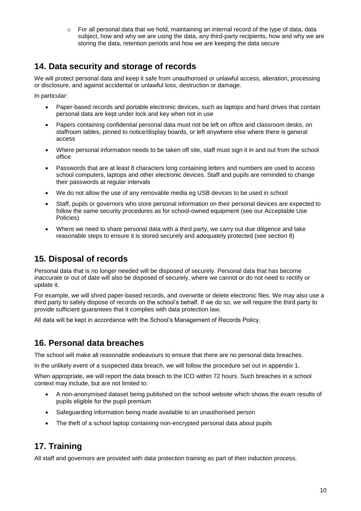o For all personal data that we hold, maintaining an internal record of the type of data, data subject, how and why we are using the data, any third-party recipients, how and why we are storing the data, retention periods and how we are keeping the data secure

## **14. Data security and storage of records**

We will protect personal data and keep it safe from unauthorised or unlawful access, alteration, processing or disclosure, and against accidental or unlawful loss, destruction or damage.

In particular:

- Paper-based records and portable electronic devices, such as laptops and hard drives that contain personal data are kept under lock and key when not in use
- Papers containing confidential personal data must not be left on office and classroom desks, on staffroom tables, pinned to notice/display boards, or left anywhere else where there is general access
- Where personal information needs to be taken off site, staff must sign it in and out from the school office
- Passwords that are at least 8 characters long containing letters and numbers are used to access school computers, laptops and other electronic devices. Staff and pupils are reminded to change their passwords at regular intervals
- We do not allow the use of any removable media eg USB devices to be used in school
- Staff, pupils or governors who store personal information on their personal devices are expected to follow the same security procedures as for school-owned equipment (see our Acceptable Use Policies)
- Where we need to share personal data with a third party, we carry out due diligence and take reasonable steps to ensure it is stored securely and adequately protected (see section 8)

### **15. Disposal of records**

Personal data that is no longer needed will be disposed of securely. Personal data that has become inaccurate or out of date will also be disposed of securely, where we cannot or do not need to rectify or update it.

For example, we will shred paper-based records, and overwrite or delete electronic files. We may also use a third party to safely dispose of records on the school's behalf. If we do so, we will require the third party to provide sufficient guarantees that it complies with data protection law.

All data will be kept in accordance with the School's Management of Records Policy.

### **16. Personal data breaches**

The school will make all reasonable endeavours to ensure that there are no personal data breaches.

In the unlikely event of a suspected data breach, we will follow the procedure set out in appendix 1.

When appropriate, we will report the data breach to the ICO within 72 hours. Such breaches in a school context may include, but are not limited to:

- A non-anonymised dataset being published on the school website which shows the exam results of pupils eligible for the pupil premium
- Safeguarding information being made available to an unauthorised person
- The theft of a school laptop containing non-encrypted personal data about pupils

## **17. Training**

All staff and governors are provided with data protection training as part of their induction process.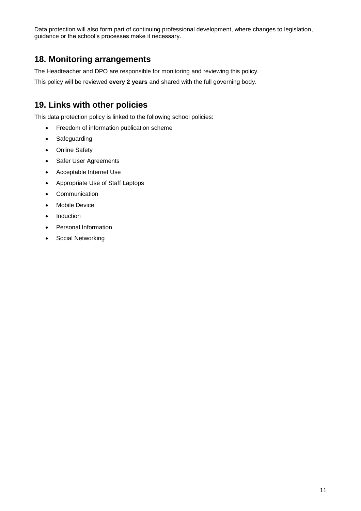Data protection will also form part of continuing professional development, where changes to legislation, guidance or the school's processes make it necessary.

### **18. Monitoring arrangements**

The Headteacher and DPO are responsible for monitoring and reviewing this policy.

This policy will be reviewed **every 2 years** and shared with the full governing body.

### **19. Links with other policies**

This data protection policy is linked to the following school policies:

- Freedom of information publication scheme
- Safeguarding
- Online Safety
- Safer User Agreements
- Acceptable Internet Use
- Appropriate Use of Staff Laptops
- Communication
- Mobile Device
- Induction
- Personal Information
- Social Networking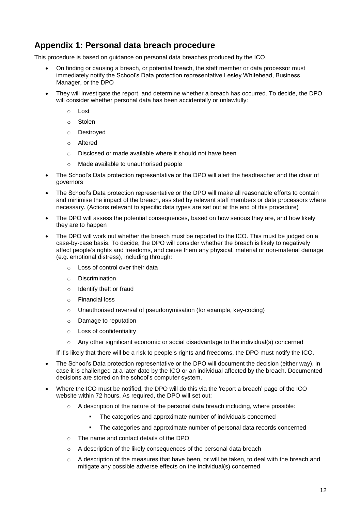## **Appendix 1: Personal data breach procedure**

This procedure is based on [guidance on personal data breaches](https://ico.org.uk/for-organisations/guide-to-the-general-data-protection-regulation-gdpr/personal-data-breaches/) produced by the ICO.

- On finding or causing a breach, or potential breach, the staff member or data processor must immediately notify the School's Data protection representative Lesley Whitehead, Business Manager, or the DPO
- They will investigate the report, and determine whether a breach has occurred. To decide, the DPO will consider whether personal data has been accidentally or unlawfully:
	- o Lost
	- o Stolen
	- o Destroyed
	- o Altered
	- o Disclosed or made available where it should not have been
	- o Made available to unauthorised people
- The School's Data protection representative or the DPO will alert the headteacher and the chair of governors
- The School's Data protection representative or the DPO will make all reasonable efforts to contain and minimise the impact of the breach, assisted by relevant staff members or data processors where necessary. (Actions relevant to specific data types are set out at the end of this procedure)
- The DPO will assess the potential consequences, based on how serious they are, and how likely they are to happen
- The DPO will work out whether the breach must be reported to the ICO. This must be judged on a case-by-case basis. To decide, the DPO will consider whether the breach is likely to negatively affect people's rights and freedoms, and cause them any physical, material or non-material damage (e.g. emotional distress), including through:
	- o Loss of control over their data
	- o Discrimination
	- o Identify theft or fraud
	- o Financial loss
	- $\circ$  Unauthorised reversal of pseudonymisation (for example, key-coding)
	- o Damage to reputation
	- o Loss of confidentiality
	- $\circ$  Any other significant economic or social disadvantage to the individual(s) concerned

If it's likely that there will be a risk to people's rights and freedoms, the DPO must notify the ICO.

- The School's Data protection representative or the DPO will document the decision (either way), in case it is challenged at a later date by the ICO or an individual affected by the breach. Documented decisions are stored on the school's computer system.
- Where the ICO must be notified, the DPO will do this via the ['report a breach' page of the ICO](https://ico.org.uk/for-organisations/report-a-breach/)  [website](https://ico.org.uk/for-organisations/report-a-breach/) within 72 hours. As required, the DPO will set out:
	- $\circ$  A description of the nature of the personal data breach including, where possible:
		- The categories and approximate number of individuals concerned
		- The categories and approximate number of personal data records concerned
	- o The name and contact details of the DPO
	- o A description of the likely consequences of the personal data breach
	- $\circ$  A description of the measures that have been, or will be taken, to deal with the breach and mitigate any possible adverse effects on the individual(s) concerned